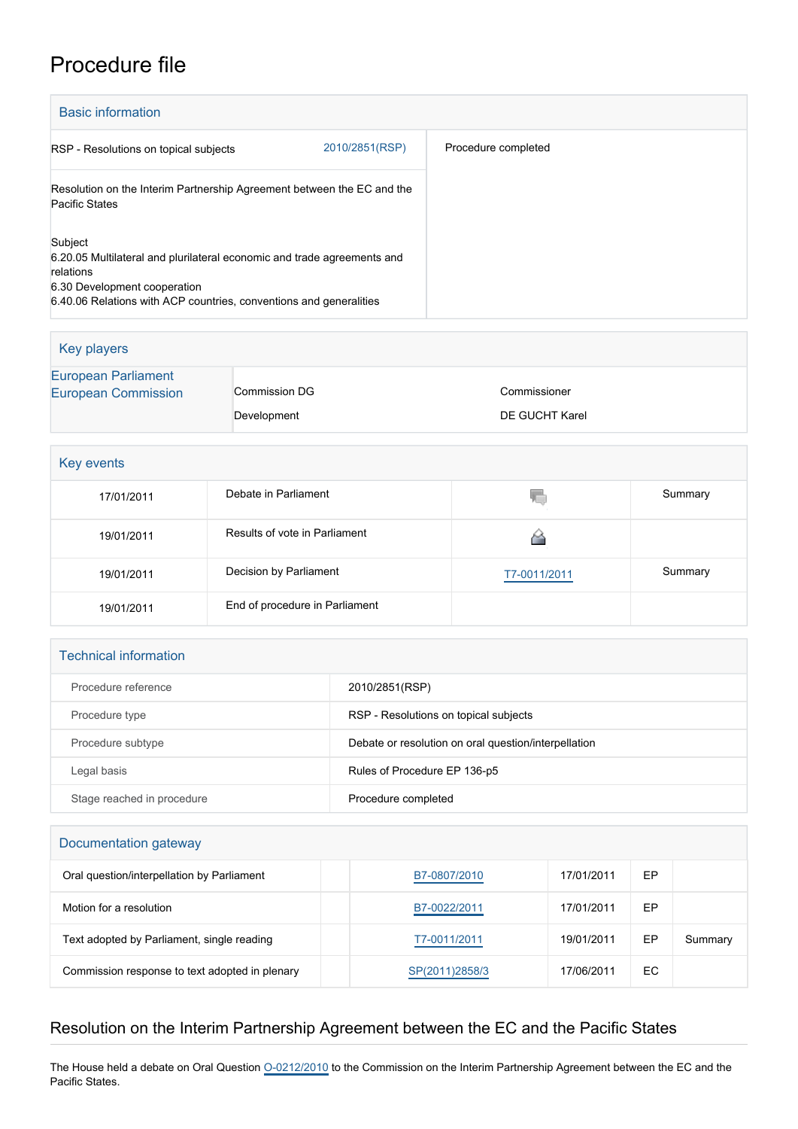# Procedure file

| <b>Basic information</b>                                                                                                                                                                              |                |                     |
|-------------------------------------------------------------------------------------------------------------------------------------------------------------------------------------------------------|----------------|---------------------|
| RSP - Resolutions on topical subjects                                                                                                                                                                 | 2010/2851(RSP) | Procedure completed |
| Resolution on the Interim Partnership Agreement between the EC and the<br>Pacific States                                                                                                              |                |                     |
| Subject<br>6.20.05 Multilateral and plurilateral economic and trade agreements and<br>relations<br>6.30 Development cooperation<br>6.40.06 Relations with ACP countries, conventions and generalities |                |                     |

| Key players                                              |               |                |  |
|----------------------------------------------------------|---------------|----------------|--|
| <b>European Parliament</b><br><b>European Commission</b> | Commission DG | Commissioner   |  |
|                                                          | Development   | DE GUCHT Karel |  |

| Key events |                                |              |         |  |  |
|------------|--------------------------------|--------------|---------|--|--|
| 17/01/2011 | Debate in Parliament           | V.           | Summary |  |  |
| 19/01/2011 | Results of vote in Parliament  |              |         |  |  |
| 19/01/2011 | Decision by Parliament         | T7-0011/2011 | Summary |  |  |
| 19/01/2011 | End of procedure in Parliament |              |         |  |  |

#### Technical information

| Procedure reference        | 2010/2851(RSP)                                       |
|----------------------------|------------------------------------------------------|
| Procedure type             | RSP - Resolutions on topical subjects                |
| Procedure subtype          | Debate or resolution on oral question/interpellation |
| Legal basis                | Rules of Procedure EP 136-p5                         |
| Stage reached in procedure | Procedure completed                                  |

#### Documentation gateway

| Oral question/interpellation by Parliament     | B7-0807/2010   | 17/01/2011 | EP |         |
|------------------------------------------------|----------------|------------|----|---------|
| Motion for a resolution                        | B7-0022/2011   | 17/01/2011 | EР |         |
| Text adopted by Parliament, single reading     | T7-0011/2011   | 19/01/2011 | ЕP | Summary |
| Commission response to text adopted in plenary | SP(2011)2858/3 | 17/06/2011 | EС |         |

## Resolution on the Interim Partnership Agreement between the EC and the Pacific States

The House held a debate on Oral Question 0-0212/2010 to the Commission on the Interim Partnership Agreement between the EC and the Pacific States.